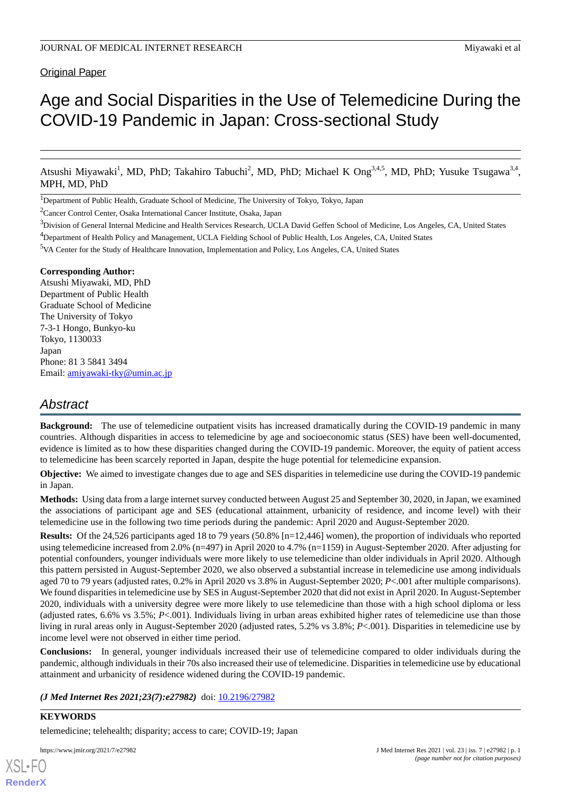# **Original Paper**

# Age and Social Disparities in the Use of Telemedicine During the COVID-19 Pandemic in Japan: Cross-sectional Study

Atsushi Miyawaki<sup>1</sup>, MD, PhD; Takahiro Tabuchi<sup>2</sup>, MD, PhD; Michael K Ong<sup>3,4,5</sup>, MD, PhD; Yusuke Tsugawa<sup>3,4</sup>, MPH, MD, PhD

<sup>1</sup>Department of Public Health, Graduate School of Medicine, The University of Tokyo, Tokyo, Japan

<sup>2</sup>Cancer Control Center, Osaka International Cancer Institute, Osaka, Japan

#### **Corresponding Author:**

Atsushi Miyawaki, MD, PhD Department of Public Health Graduate School of Medicine The University of Tokyo 7-3-1 Hongo, Bunkyo-ku Tokyo, 1130033 Japan Phone: 81 3 5841 3494 Email: [amiyawaki-tky@umin.ac.jp](mailto:amiyawaki-tky@umin.ac.jp)

# *Abstract*

**Background:** The use of telemedicine outpatient visits has increased dramatically during the COVID-19 pandemic in many countries. Although disparities in access to telemedicine by age and socioeconomic status (SES) have been well-documented, evidence is limited as to how these disparities changed during the COVID-19 pandemic. Moreover, the equity of patient access to telemedicine has been scarcely reported in Japan, despite the huge potential for telemedicine expansion.

**Objective:** We aimed to investigate changes due to age and SES disparities in telemedicine use during the COVID-19 pandemic in Japan.

**Methods:** Using data from a large internet survey conducted between August 25 and September 30, 2020, in Japan, we examined the associations of participant age and SES (educational attainment, urbanicity of residence, and income level) with their telemedicine use in the following two time periods during the pandemic: April 2020 and August-September 2020.

**Results:** Of the 24,526 participants aged 18 to 79 years (50.8% [n=12,446] women), the proportion of individuals who reported using telemedicine increased from 2.0% (n=497) in April 2020 to 4.7% (n=1159) in August-September 2020. After adjusting for potential confounders, younger individuals were more likely to use telemedicine than older individuals in April 2020. Although this pattern persisted in August-September 2020, we also observed a substantial increase in telemedicine use among individuals aged 70 to 79 years (adjusted rates, 0.2% in April 2020 vs 3.8% in August-September 2020; *P*<.001 after multiple comparisons). We found disparities in telemedicine use by SES in August-September 2020 that did not exist in April 2020. In August-September 2020, individuals with a university degree were more likely to use telemedicine than those with a high school diploma or less (adjusted rates, 6.6% vs 3.5%; *P*<.001). Individuals living in urban areas exhibited higher rates of telemedicine use than those living in rural areas only in August-September 2020 (adjusted rates, 5.2% vs 3.8%; *P*<.001). Disparities in telemedicine use by income level were not observed in either time period.

**Conclusions:** In general, younger individuals increased their use of telemedicine compared to older individuals during the pandemic, although individuals in their 70s also increased their use of telemedicine. Disparities in telemedicine use by educational attainment and urbanicity of residence widened during the COVID-19 pandemic.

*(J Med Internet Res 2021;23(7):e27982)* doi:  $10.2196/27982$ 

# **KEYWORDS**

[XSL](http://www.w3.org/Style/XSL)•FO **[RenderX](http://www.renderx.com/)**

telemedicine; telehealth; disparity; access to care; COVID-19; Japan

<sup>&</sup>lt;sup>3</sup>Division of General Internal Medicine and Health Services Research, UCLA David Geffen School of Medicine, Los Angeles, CA, United States

<sup>4</sup>Department of Health Policy and Management, UCLA Fielding School of Public Health, Los Angeles, CA, United States

<sup>5</sup>VA Center for the Study of Healthcare Innovation, Implementation and Policy, Los Angeles, CA, United States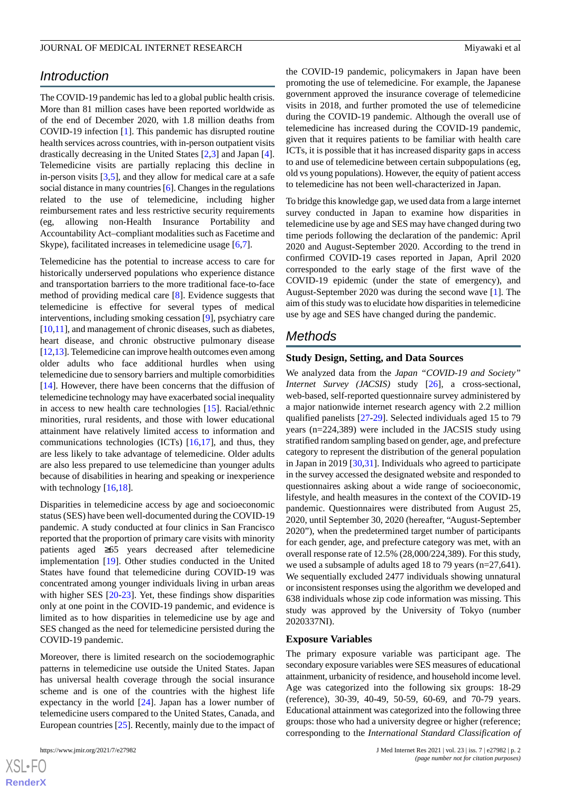# *Introduction*

The COVID-19 pandemic has led to a global public health crisis. More than 81 million cases have been reported worldwide as of the end of December 2020, with 1.8 million deaths from COVID-19 infection [\[1](#page-10-0)]. This pandemic has disrupted routine health services across countries, with in-person outpatient visits drastically decreasing in the United States [[2](#page-10-1)[,3](#page-10-2)] and Japan [[4\]](#page-11-0). Telemedicine visits are partially replacing this decline in in-person visits  $[3,5]$  $[3,5]$  $[3,5]$  $[3,5]$ , and they allow for medical care at a safe social distance in many countries [\[6](#page-11-2)]. Changes in the regulations related to the use of telemedicine, including higher reimbursement rates and less restrictive security requirements (eg, allowing non-Health Insurance Portability and Accountability Act–compliant modalities such as Facetime and Skype), facilitated increases in telemedicine usage [[6,](#page-11-2)[7](#page-11-3)].

Telemedicine has the potential to increase access to care for historically underserved populations who experience distance and transportation barriers to the more traditional face-to-face method of providing medical care [[8\]](#page-11-4). Evidence suggests that telemedicine is effective for several types of medical interventions, including smoking cessation [\[9](#page-11-5)], psychiatry care [[10](#page-11-6)[,11](#page-11-7)], and management of chronic diseases, such as diabetes, heart disease, and chronic obstructive pulmonary disease [[12,](#page-11-8)[13\]](#page-11-9). Telemedicine can improve health outcomes even among older adults who face additional hurdles when using telemedicine due to sensory barriers and multiple comorbidities [[14\]](#page-11-10). However, there have been concerns that the diffusion of telemedicine technology may have exacerbated social inequality in access to new health care technologies [[15\]](#page-11-11). Racial/ethnic minorities, rural residents, and those with lower educational attainment have relatively limited access to information and communications technologies (ICTs) [[16](#page-11-12)[,17](#page-11-13)], and thus, they are less likely to take advantage of telemedicine. Older adults are also less prepared to use telemedicine than younger adults because of disabilities in hearing and speaking or inexperience with technology [\[16](#page-11-12),[18\]](#page-11-14).

Disparities in telemedicine access by age and socioeconomic status (SES) have been well-documented during the COVID-19 pandemic. A study conducted at four clinics in San Francisco reported that the proportion of primary care visits with minority patients aged ≥65 years decreased after telemedicine implementation [[19\]](#page-11-15). Other studies conducted in the United States have found that telemedicine during COVID-19 was concentrated among younger individuals living in urban areas with higher SES [[20-](#page-11-16)[23](#page-11-17)]. Yet, these findings show disparities only at one point in the COVID-19 pandemic, and evidence is limited as to how disparities in telemedicine use by age and SES changed as the need for telemedicine persisted during the COVID-19 pandemic.

Moreover, there is limited research on the sociodemographic patterns in telemedicine use outside the United States. Japan has universal health coverage through the social insurance scheme and is one of the countries with the highest life expectancy in the world [[24\]](#page-11-18). Japan has a lower number of telemedicine users compared to the United States, Canada, and European countries [\[25](#page-11-19)]. Recently, mainly due to the impact of

the COVID-19 pandemic, policymakers in Japan have been promoting the use of telemedicine. For example, the Japanese government approved the insurance coverage of telemedicine visits in 2018, and further promoted the use of telemedicine during the COVID-19 pandemic. Although the overall use of telemedicine has increased during the COVID-19 pandemic, given that it requires patients to be familiar with health care ICTs, it is possible that it has increased disparity gaps in access to and use of telemedicine between certain subpopulations (eg, old vs young populations). However, the equity of patient access to telemedicine has not been well-characterized in Japan.

To bridge this knowledge gap, we used data from a large internet survey conducted in Japan to examine how disparities in telemedicine use by age and SES may have changed during two time periods following the declaration of the pandemic: April 2020 and August-September 2020. According to the trend in confirmed COVID-19 cases reported in Japan, April 2020 corresponded to the early stage of the first wave of the COVID-19 epidemic (under the state of emergency), and August-September 2020 was during the second wave [[1\]](#page-10-0). The aim of this study was to elucidate how disparities in telemedicine use by age and SES have changed during the pandemic.

# *Methods*

## **Study Design, Setting, and Data Sources**

We analyzed data from the *Japan "COVID-19 and Society" Internet Survey (JACSIS)* study [[26\]](#page-11-20), a cross-sectional, web-based, self-reported questionnaire survey administered by a major nationwide internet research agency with 2.2 million qualified panelists [[27-](#page-12-0)[29](#page-12-1)]. Selected individuals aged 15 to 79 years (n=224,389) were included in the JACSIS study using stratified random sampling based on gender, age, and prefecture category to represent the distribution of the general population in Japan in 2019 [\[30](#page-12-2),[31\]](#page-12-3). Individuals who agreed to participate in the survey accessed the designated website and responded to questionnaires asking about a wide range of socioeconomic, lifestyle, and health measures in the context of the COVID-19 pandemic. Questionnaires were distributed from August 25, 2020, until September 30, 2020 (hereafter, "August-September 2020"), when the predetermined target number of participants for each gender, age, and prefecture category was met, with an overall response rate of 12.5% (28,000/224,389). For this study, we used a subsample of adults aged 18 to 79 years (n=27,641). We sequentially excluded 2477 individuals showing unnatural or inconsistent responses using the algorithm we developed and 638 individuals whose zip code information was missing. This study was approved by the University of Tokyo (number 2020337NI).

#### **Exposure Variables**

The primary exposure variable was participant age. The secondary exposure variables were SES measures of educational attainment, urbanicity of residence, and household income level. Age was categorized into the following six groups: 18-29 (reference), 30-39, 40-49, 50-59, 60-69, and 70-79 years. Educational attainment was categorized into the following three groups: those who had a university degree or higher (reference; corresponding to the *International Standard Classification of*

```
XS-FO
RenderX
```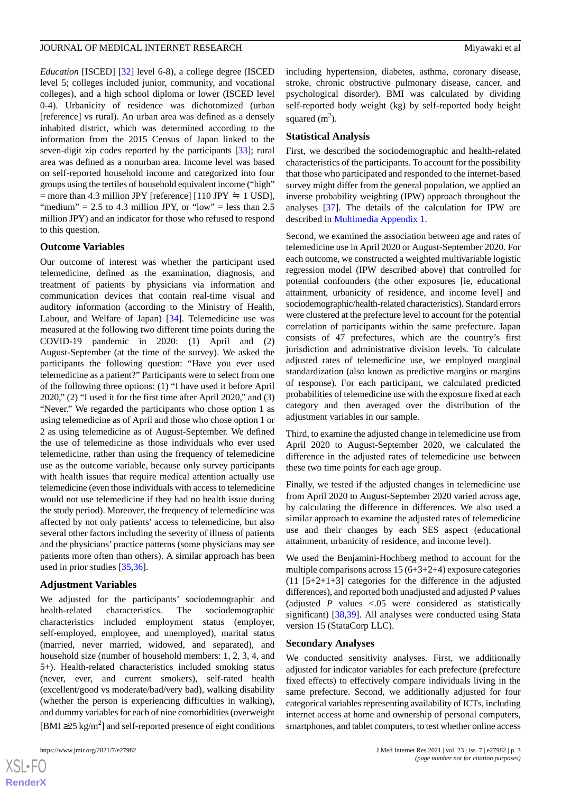*Education* [ISCED] [[32\]](#page-12-4) level 6-8), a college degree (ISCED level 5; colleges included junior, community, and vocational colleges), and a high school diploma or lower (ISCED level 0-4). Urbanicity of residence was dichotomized (urban [reference] vs rural). An urban area was defined as a densely inhabited district, which was determined according to the information from the 2015 Census of Japan linked to the seven-digit zip codes reported by the participants [[33\]](#page-12-5); rural area was defined as a nonurban area. Income level was based on self-reported household income and categorized into four groups using the tertiles of household equivalent income ("high" = more than 4.3 million JPY [reference] [110 JPY  $\approx$  1 USD], "medium" = 2.5 to 4.3 million JPY, or "low" = less than  $2.5$ million JPY) and an indicator for those who refused to respond to this question.

#### **Outcome Variables**

Our outcome of interest was whether the participant used telemedicine, defined as the examination, diagnosis, and treatment of patients by physicians via information and communication devices that contain real-time visual and auditory information (according to the Ministry of Health, Labour, and Welfare of Japan) [[34\]](#page-12-6). Telemedicine use was measured at the following two different time points during the COVID-19 pandemic in 2020: (1) April and (2) August-September (at the time of the survey). We asked the participants the following question: "Have you ever used telemedicine as a patient?" Participants were to select from one of the following three options: (1) "I have used it before April 2020," (2) "I used it for the first time after April 2020," and (3) "Never." We regarded the participants who chose option 1 as using telemedicine as of April and those who chose option 1 or 2 as using telemedicine as of August-September. We defined the use of telemedicine as those individuals who ever used telemedicine, rather than using the frequency of telemedicine use as the outcome variable, because only survey participants with health issues that require medical attention actually use telemedicine (even those individuals with access to telemedicine would not use telemedicine if they had no health issue during the study period). Moreover, the frequency of telemedicine was affected by not only patients' access to telemedicine, but also several other factors including the severity of illness of patients and the physicians' practice patterns (some physicians may see patients more often than others). A similar approach has been used in prior studies [\[35](#page-12-7),[36\]](#page-12-8).

#### **Adjustment Variables**

We adjusted for the participants' sociodemographic and health-related characteristics. The sociodemographic characteristics included employment status (employer, self-employed, employee, and unemployed), marital status (married, never married, widowed, and separated), and household size (number of household members: 1, 2, 3, 4, and 5+). Health-related characteristics included smoking status (never, ever, and current smokers), self-rated health (excellent/good vs moderate/bad/very bad), walking disability (whether the person is experiencing difficulties in walking), and dummy variables for each of nine comorbidities (overweight [BMI  $\geq$ 25 kg/m<sup>2</sup>] and self-reported presence of eight conditions

including hypertension, diabetes, asthma, coronary disease, stroke, chronic obstructive pulmonary disease, cancer, and psychological disorder). BMI was calculated by dividing self-reported body weight (kg) by self-reported body height squared  $(m<sup>2</sup>)$ .

#### **Statistical Analysis**

First, we described the sociodemographic and health-related characteristics of the participants. To account for the possibility that those who participated and responded to the internet-based survey might differ from the general population, we applied an inverse probability weighting (IPW) approach throughout the analyses [\[37](#page-12-9)]. The details of the calculation for IPW are described in [Multimedia Appendix 1.](#page-10-3)

Second, we examined the association between age and rates of telemedicine use in April 2020 or August-September 2020. For each outcome, we constructed a weighted multivariable logistic regression model (IPW described above) that controlled for potential confounders (the other exposures [ie, educational attainment, urbanicity of residence, and income level] and sociodemographic/health-related characteristics). Standard errors were clustered at the prefecture level to account for the potential correlation of participants within the same prefecture. Japan consists of 47 prefectures, which are the country's first jurisdiction and administrative division levels. To calculate adjusted rates of telemedicine use, we employed marginal standardization (also known as predictive margins or margins of response). For each participant, we calculated predicted probabilities of telemedicine use with the exposure fixed at each category and then averaged over the distribution of the adjustment variables in our sample.

Third, to examine the adjusted change in telemedicine use from April 2020 to August-September 2020, we calculated the difference in the adjusted rates of telemedicine use between these two time points for each age group.

Finally, we tested if the adjusted changes in telemedicine use from April 2020 to August-September 2020 varied across age, by calculating the difference in differences. We also used a similar approach to examine the adjusted rates of telemedicine use and their changes by each SES aspect (educational attainment, urbanicity of residence, and income level).

We used the Benjamini-Hochberg method to account for the multiple comparisons across  $15(6+3+2+4)$  exposure categories (11 [5+2+1+3] categories for the difference in the adjusted differences), and reported both unadjusted and adjusted *P* values (adjusted *P* values <.05 were considered as statistically significant) [[38,](#page-12-10)[39](#page-12-11)]. All analyses were conducted using Stata version 15 (StataCorp LLC).

#### **Secondary Analyses**

We conducted sensitivity analyses. First, we additionally adjusted for indicator variables for each prefecture (prefecture fixed effects) to effectively compare individuals living in the same prefecture. Second, we additionally adjusted for four categorical variables representing availability of ICTs, including internet access at home and ownership of personal computers, smartphones, and tablet computers, to test whether online access

```
XS\cdotFC
RenderX
```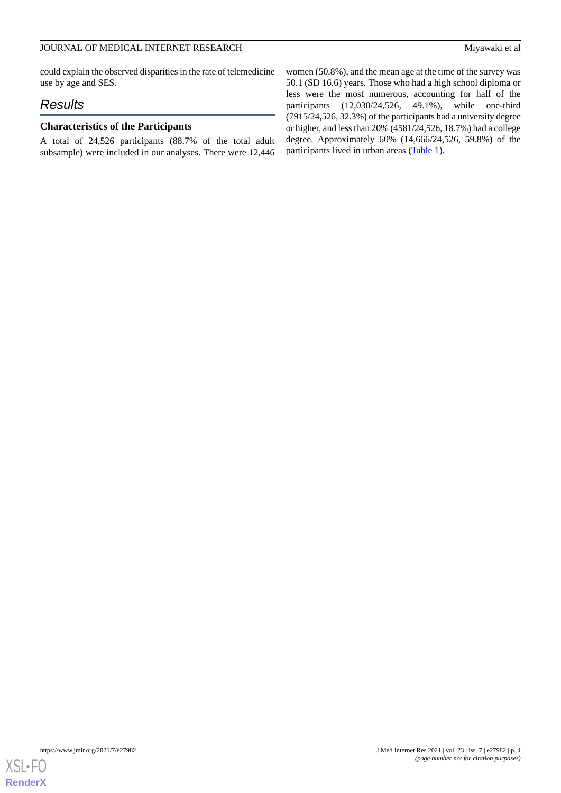## JOURNAL OF MEDICAL INTERNET RESEARCH Miyawaki et al

could explain the observed disparities in the rate of telemedicine use by age and SES.

# *Results*

# **Characteristics of the Participants**

A total of 24,526 participants (88.7% of the total adult subsample) were included in our analyses. There were 12,446

women (50.8%), and the mean age at the time of the survey was 50.1 (SD 16.6) years. Those who had a high school diploma or less were the most numerous, accounting for half of the participants (12,030/24,526, 49.1%), while one-third (7915/24,526, 32.3%) of the participants had a university degree or higher, and less than 20% (4581/24,526, 18.7%) had a college degree. Approximately 60% (14,666/24,526, 59.8%) of the participants lived in urban areas ([Table 1](#page-4-0)).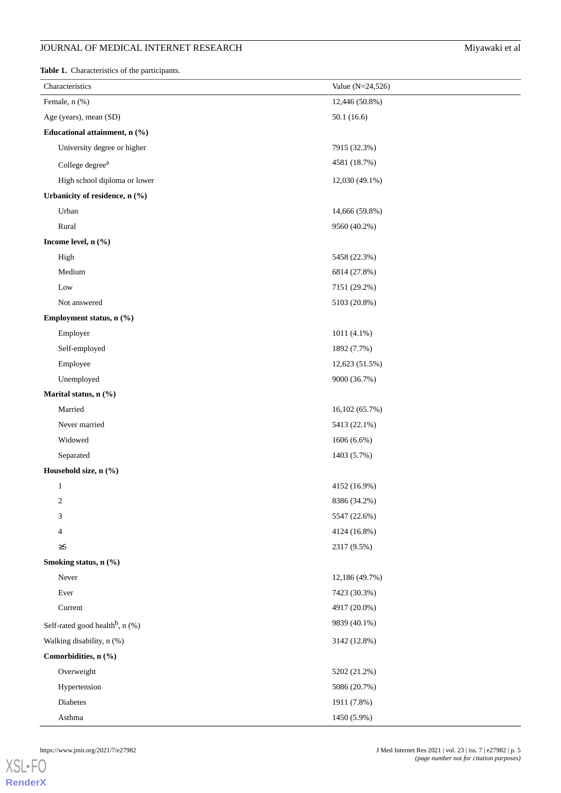# **JOURNAL OF MEDICAL INTERNET RESEARCH** Miyawaki et al

<span id="page-4-0"></span>**Table 1.** Characteristics of the participants.

| Characteristics                             | Value $(N=24, 526)$ |  |
|---------------------------------------------|---------------------|--|
| Female, n (%)                               | 12,446 (50.8%)      |  |
| Age (years), mean (SD)                      | 50.1(16.6)          |  |
| Educational attainment, n (%)               |                     |  |
| University degree or higher                 | 7915 (32.3%)        |  |
| College degree <sup>a</sup>                 | 4581 (18.7%)        |  |
| High school diploma or lower                | 12,030 (49.1%)      |  |
| Urbanicity of residence, n (%)              |                     |  |
| Urban                                       | 14,666 (59.8%)      |  |
| Rural                                       | 9560 (40.2%)        |  |
| Income level, n (%)                         |                     |  |
| High                                        | 5458 (22.3%)        |  |
| Medium                                      | 6814 (27.8%)        |  |
| Low                                         | 7151 (29.2%)        |  |
| Not answered                                | 5103 (20.8%)        |  |
| Employment status, n (%)                    |                     |  |
| Employer                                    | 1011 (4.1%)         |  |
| Self-employed                               | 1892 (7.7%)         |  |
| Employee                                    | 12,623 (51.5%)      |  |
| Unemployed                                  | 9000 (36.7%)        |  |
| Marital status, n (%)                       |                     |  |
| Married                                     | 16,102 (65.7%)      |  |
| Never married                               | 5413 (22.1%)        |  |
| Widowed                                     | $1606(6.6\%)$       |  |
| Separated                                   | 1403 (5.7%)         |  |
| Household size, n (%)                       |                     |  |
| $\mathbf{1}$                                | 4152 (16.9%)        |  |
| 2                                           | 8386 (34.2%)        |  |
| 3                                           | 5547 (22.6%)        |  |
| 4                                           | 4124 (16.8%)        |  |
| $\geq 5$                                    | 2317 (9.5%)         |  |
| Smoking status, n (%)                       |                     |  |
| Never                                       | 12,186 (49.7%)      |  |
| Ever                                        | 7423 (30.3%)        |  |
| Current                                     | 4917 (20.0%)        |  |
| Self-rated good health <sup>b</sup> , n (%) | 9839 (40.1%)        |  |
| Walking disability, n (%)                   | 3142 (12.8%)        |  |
| Comorbidities, n (%)                        |                     |  |
| Overweight                                  | 5202 (21.2%)        |  |
| Hypertension                                | 5086 (20.7%)        |  |
| Diabetes                                    | 1911 (7.8%)         |  |
| Asthma                                      | 1450 (5.9%)         |  |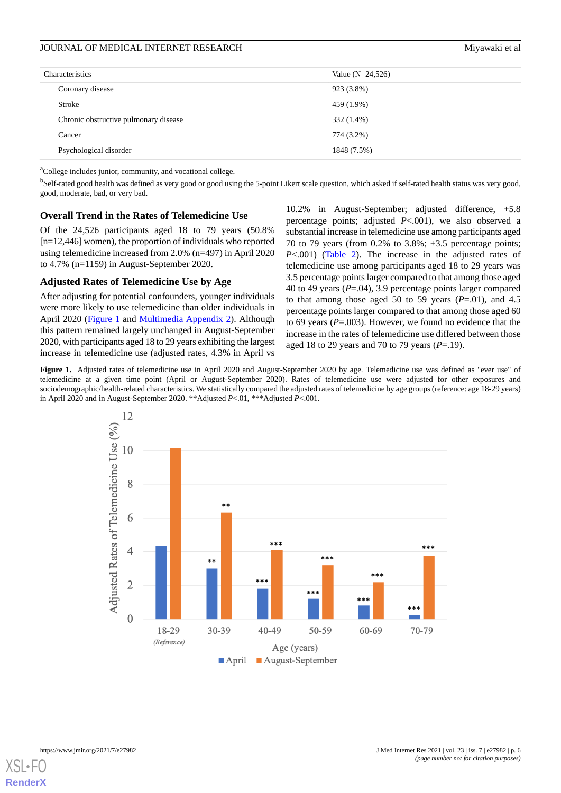| Characteristics                       | Value $(N=24,526)$ |
|---------------------------------------|--------------------|
| Coronary disease                      | 923 (3.8%)         |
| Stroke                                | 459 (1.9%)         |
| Chronic obstructive pulmonary disease | 332 (1.4%)         |
| Cancer                                | 774 (3.2%)         |
| Psychological disorder                | 1848 (7.5%)        |

<sup>a</sup>College includes junior, community, and vocational college.

<sup>b</sup>Self-rated good health was defined as very good or good using the 5-point Likert scale question, which asked if self-rated health status was very good, good, moderate, bad, or very bad.

#### **Overall Trend in the Rates of Telemedicine Use**

Of the 24,526 participants aged 18 to 79 years (50.8% [n=12,446] women), the proportion of individuals who reported using telemedicine increased from 2.0% (n=497) in April 2020 to 4.7% (n=1159) in August-September 2020.

#### **Adjusted Rates of Telemedicine Use by Age**

<span id="page-5-0"></span>After adjusting for potential confounders, younger individuals were more likely to use telemedicine than older individuals in April 2020 [\(Figure 1](#page-5-0) and [Multimedia Appendix 2\)](#page-10-4). Although this pattern remained largely unchanged in August-September 2020, with participants aged 18 to 29 years exhibiting the largest increase in telemedicine use (adjusted rates, 4.3% in April vs

10.2% in August-September; adjusted difference, +5.8 percentage points; adjusted *P*<.001), we also observed a substantial increase in telemedicine use among participants aged 70 to 79 years (from 0.2% to 3.8%; +3.5 percentage points; *P*<.001) [\(Table 2\)](#page-6-0). The increase in the adjusted rates of telemedicine use among participants aged 18 to 29 years was 3.5 percentage points larger compared to that among those aged 40 to 49 years (*P*=.04), 3.9 percentage points larger compared to that among those aged 50 to 59 years  $(P=.01)$ , and 4.5 percentage points larger compared to that among those aged 60 to 69 years (*P*=.003). However, we found no evidence that the increase in the rates of telemedicine use differed between those aged 18 to 29 years and 70 to 79 years (*P*=.19).

**Figure 1.** Adjusted rates of telemedicine use in April 2020 and August-September 2020 by age. Telemedicine use was defined as "ever use" of telemedicine at a given time point (April or August-September 2020). Rates of telemedicine use were adjusted for other exposures and sociodemographic/health-related characteristics. We statistically compared the adjusted rates of telemedicine by age groups (reference: age 18-29 years) in April 2020 and in August-September 2020. \*\*Adjusted *P*<.01, \*\*\*Adjusted *P*<.001.



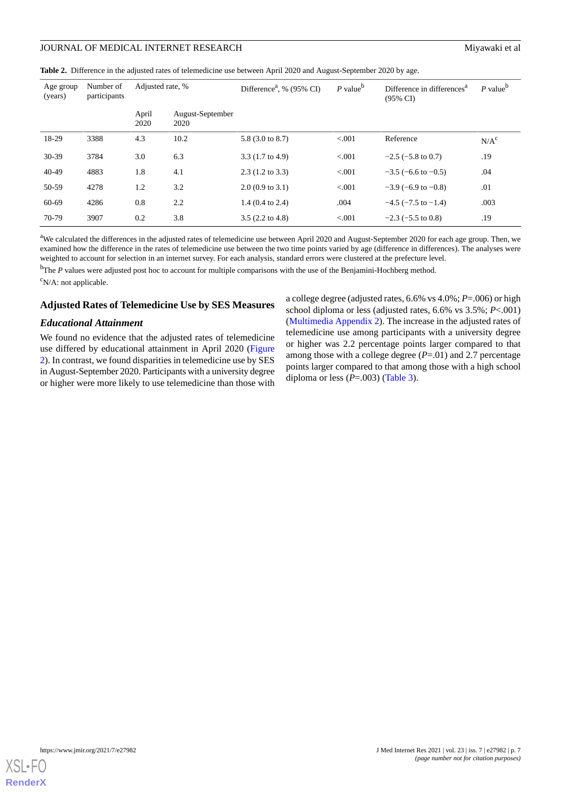<span id="page-6-0"></span>**Table 2.** Difference in the adjusted rates of telemedicine use between April 2020 and August-September 2020 by age.

| Age group<br>(years) | Number of<br>participants | Adjusted rate, % |                          | Difference <sup>a</sup> , % $(95\% \text{ CI})$ | $P$ value <sup>b</sup> | Difference in differences <sup>a</sup><br>$(95\% \text{ CI})$ | $P$ value <sup>b</sup> |
|----------------------|---------------------------|------------------|--------------------------|-------------------------------------------------|------------------------|---------------------------------------------------------------|------------------------|
|                      |                           | April<br>2020    | August-September<br>2020 |                                                 |                        |                                                               |                        |
| 18-29                | 3388                      | 4.3              | 10.2                     | 5.8 (3.0 to 8.7)                                | < 0.001                | Reference                                                     | N/A <sup>c</sup>       |
| $30-39$              | 3784                      | 3.0              | 6.3                      | $3.3(1.7 \text{ to } 4.9)$                      | < 0.001                | $-2.5$ ( $-5.8$ to 0.7)                                       | .19                    |
| $40 - 49$            | 4883                      | 1.8              | 4.1                      | $2.3(1.2 \text{ to } 3.3)$                      | < 0.001                | $-3.5$ (-6.6 to -0.5)                                         | .04                    |
| 50-59                | 4278                      | 1.2              | 3.2                      | $2.0(0.9 \text{ to } 3.1)$                      | < 0.001                | $-3.9$ (-6.9 to -0.8)                                         | .01                    |
| 60-69                | 4286                      | 0.8              | 2.2                      | $1.4(0.4 \text{ to } 2.4)$                      | .004                   | $-4.5$ ( $-7.5$ to $-1.4$ )                                   | .003                   |
| 70-79                | 3907                      | 0.2              | 3.8                      | $3.5(2.2 \text{ to } 4.8)$                      | < 0.001                | $-2.3$ ( $-5.5$ to 0.8)                                       | .19                    |

<sup>a</sup>We calculated the differences in the adjusted rates of telemedicine use between April 2020 and August-September 2020 for each age group. Then, we examined how the difference in the rates of telemedicine use between the two time points varied by age (difference in differences). The analyses were weighted to account for selection in an internet survey. For each analysis, standard errors were clustered at the prefecture level.

<sup>b</sup>The *P* values were adjusted post hoc to account for multiple comparisons with the use of the Benjamini-Hochberg method.  $\rm^c$ N/A: not applicable.

#### **Adjusted Rates of Telemedicine Use by SES Measures**

#### *Educational Attainment*

We found no evidence that the adjusted rates of telemedicine use differed by educational attainment in April 2020 ([Figure](#page-7-0) [2\)](#page-7-0). In contrast, we found disparities in telemedicine use by SES in August-September 2020. Participants with a university degree or higher were more likely to use telemedicine than those with

a college degree (adjusted rates, 6.6% vs 4.0%; *P*=.006) or high school diploma or less (adjusted rates, 6.6% vs 3.5%; *P*<.001) ([Multimedia Appendix 2](#page-10-4)). The increase in the adjusted rates of telemedicine use among participants with a university degree or higher was 2.2 percentage points larger compared to that among those with a college degree (*P*=.01) and 2.7 percentage points larger compared to that among those with a high school diploma or less  $(P=.003)$  ([Table 3](#page-8-0)).

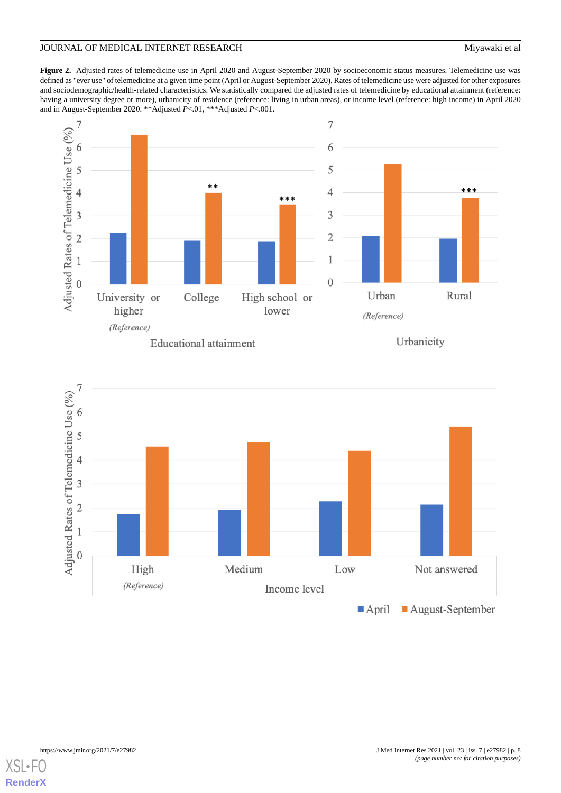# JOURNAL OF MEDICAL INTERNET RESEARCH Miyawaki et al

<span id="page-7-0"></span>**Figure 2.** Adjusted rates of telemedicine use in April 2020 and August-September 2020 by socioeconomic status measures. Telemedicine use was defined as "ever use" of telemedicine at a given time point (April or August-September 2020). Rates of telemedicine use were adjusted for other exposures and sociodemographic/health-related characteristics. We statistically compared the adjusted rates of telemedicine by educational attainment (reference: having a university degree or more), urbanicity of residence (reference: living in urban areas), or income level (reference: high income) in April 2020 and in August-September 2020. \*\*Adjusted *P*<.01, \*\*\*Adjusted *P*<.001.





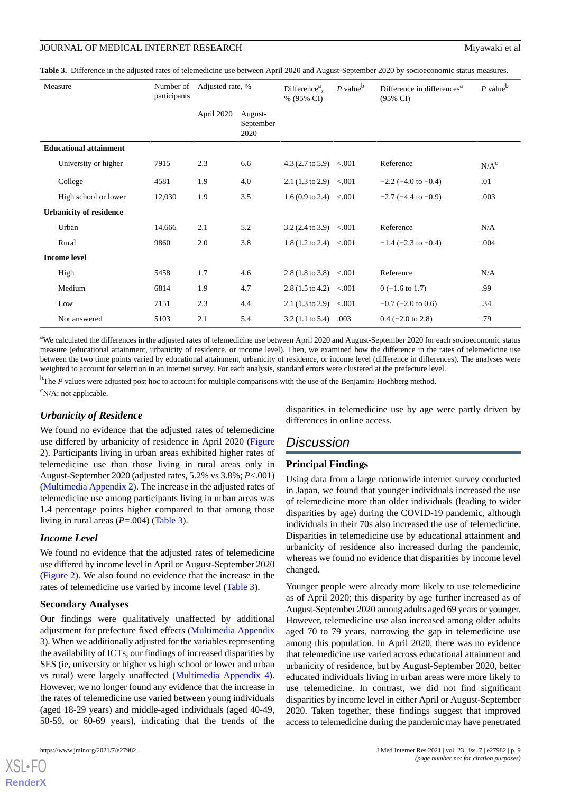<span id="page-8-0"></span>

|  |  | Table 3. Difference in the adjusted rates of telemedicine use between April 2020 and August-September 2020 by socioeconomic status measures. |
|--|--|----------------------------------------------------------------------------------------------------------------------------------------------|
|  |  |                                                                                                                                              |

| Measure                        | Number of<br>participants | Adjusted rate, % |                              | Difference <sup>a</sup> ,<br>% (95% CI) | $P$ value <sup>b</sup> | Difference in differences <sup>a</sup><br>$(95\% \text{ CI})$ | $P$ value <sup>b</sup> |
|--------------------------------|---------------------------|------------------|------------------------------|-----------------------------------------|------------------------|---------------------------------------------------------------|------------------------|
|                                |                           | April 2020       | August-<br>September<br>2020 |                                         |                        |                                                               |                        |
| <b>Educational attainment</b>  |                           |                  |                              |                                         |                        |                                                               |                        |
| University or higher           | 7915                      | 2.3              | 6.6                          | 4.3 $(2.7 \text{ to } 5.9)$ <.001       |                        | Reference                                                     | N/A <sup>c</sup>       |
| College                        | 4581                      | 1.9              | 4.0                          | $2.1(1.3 \text{ to } 2.9) < 0.001$      |                        | $-2.2$ ( $-4.0$ to $-0.4$ )                                   | .01                    |
| High school or lower           | 12,030                    | 1.9              | 3.5                          | $1.6(0.9 \text{ to } 2.4)$ < 0.01       |                        | $-2.7$ ( $-4.4$ to $-0.9$ )                                   | .003                   |
| <b>Urbanicity of residence</b> |                           |                  |                              |                                         |                        |                                                               |                        |
| Urban                          | 14,666                    | 2.1              | 5.2                          | $3.2(2.4 \text{ to } 3.9)$ <.001        |                        | Reference                                                     | N/A                    |
| Rural                          | 9860                      | 2.0              | 3.8                          | $1.8(1.2 \text{ to } 2.4)$ <.001        |                        | $-1.4$ ( $-2.3$ to $-0.4$ )                                   | .004                   |
| <b>Income level</b>            |                           |                  |                              |                                         |                        |                                                               |                        |
| High                           | 5458                      | 1.7              | 4.6                          | $2.8(1.8 \text{ to } 3.8)$ <.001        |                        | Reference                                                     | N/A                    |
| Medium                         | 6814                      | 1.9              | 4.7                          | $2.8(1.5 \text{ to } 4.2)$ <.001        |                        | $0$ (-1.6 to 1.7)                                             | .99                    |
| Low                            | 7151                      | 2.3              | 4.4                          | $2.1(1.3 \text{ to } 2.9)$              | < 0.001                | $-0.7$ ( $-2.0$ to 0.6)                                       | .34                    |
| Not answered                   | 5103                      | 2.1              | 5.4                          | $3.2(1.1 \text{ to } 5.4)$ .003         |                        | $0.4$ (-2.0 to 2.8)                                           | .79                    |

<sup>a</sup>We calculated the differences in the adjusted rates of telemedicine use between April 2020 and August-September 2020 for each socioeconomic status measure (educational attainment, urbanicity of residence, or income level). Then, we examined how the difference in the rates of telemedicine use between the two time points varied by educational attainment, urbanicity of residence, or income level (difference in differences). The analyses were weighted to account for selection in an internet survey. For each analysis, standard errors were clustered at the prefecture level.

<sup>b</sup>The *P* values were adjusted post hoc to account for multiple comparisons with the use of the Benjamini-Hochberg method.

 $\rm^cN/A$ : not applicable.

#### *Urbanicity of Residence*

We found no evidence that the adjusted rates of telemedicine use differed by urbanicity of residence in April 2020 ([Figure](#page-7-0) [2\)](#page-7-0). Participants living in urban areas exhibited higher rates of telemedicine use than those living in rural areas only in August-September 2020 (adjusted rates, 5.2% vs 3.8%; *P*<.001) ([Multimedia Appendix 2](#page-10-4)). The increase in the adjusted rates of telemedicine use among participants living in urban areas was 1.4 percentage points higher compared to that among those living in rural areas (*P*=.004) ([Table 3](#page-8-0)).

#### *Income Level*

We found no evidence that the adjusted rates of telemedicine use differed by income level in April or August-September 2020 ([Figure 2\)](#page-7-0). We also found no evidence that the increase in the rates of telemedicine use varied by income level ([Table 3](#page-8-0)).

#### **Secondary Analyses**

Our findings were qualitatively unaffected by additional adjustment for prefecture fixed effects ([Multimedia Appendix](#page-10-5) [3\)](#page-10-5). When we additionally adjusted for the variables representing the availability of ICTs, our findings of increased disparities by SES (ie, university or higher vs high school or lower and urban vs rural) were largely unaffected [\(Multimedia Appendix 4\)](#page-10-6). However, we no longer found any evidence that the increase in the rates of telemedicine use varied between young individuals (aged 18-29 years) and middle-aged individuals (aged 40-49, 50-59, or 60-69 years), indicating that the trends of the

[XSL](http://www.w3.org/Style/XSL)•FO **[RenderX](http://www.renderx.com/)**

disparities in telemedicine use by age were partly driven by differences in online access.

# *Discussion*

#### **Principal Findings**

Using data from a large nationwide internet survey conducted in Japan, we found that younger individuals increased the use of telemedicine more than older individuals (leading to wider disparities by age) during the COVID-19 pandemic, although individuals in their 70s also increased the use of telemedicine. Disparities in telemedicine use by educational attainment and urbanicity of residence also increased during the pandemic, whereas we found no evidence that disparities by income level changed.

Younger people were already more likely to use telemedicine as of April 2020; this disparity by age further increased as of August-September 2020 among adults aged 69 years or younger. However, telemedicine use also increased among older adults aged 70 to 79 years, narrowing the gap in telemedicine use among this population. In April 2020, there was no evidence that telemedicine use varied across educational attainment and urbanicity of residence, but by August-September 2020, better educated individuals living in urban areas were more likely to use telemedicine. In contrast, we did not find significant disparities by income level in either April or August-September 2020. Taken together, these findings suggest that improved access to telemedicine during the pandemic may have penetrated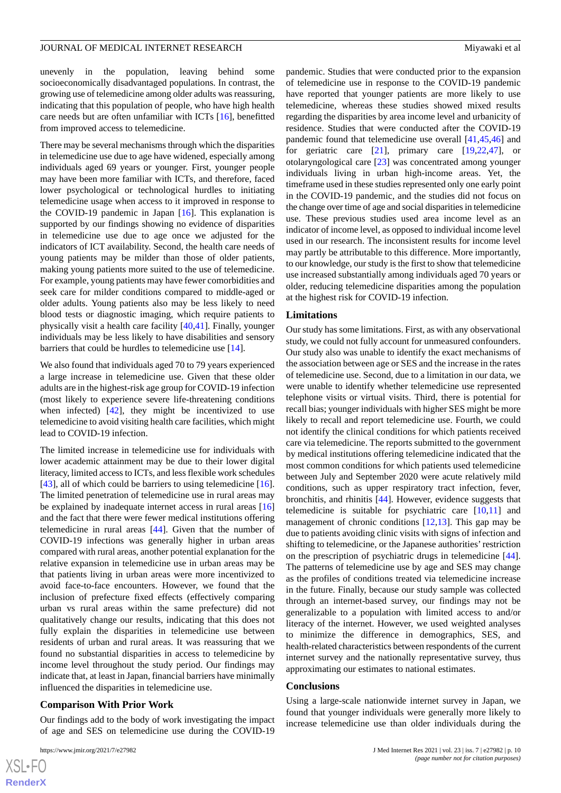unevenly in the population, leaving behind some socioeconomically disadvantaged populations. In contrast, the growing use of telemedicine among older adults was reassuring, indicating that this population of people, who have high health care needs but are often unfamiliar with ICTs [\[16](#page-11-12)], benefitted from improved access to telemedicine.

There may be several mechanisms through which the disparities in telemedicine use due to age have widened, especially among individuals aged 69 years or younger. First, younger people may have been more familiar with ICTs, and therefore, faced lower psychological or technological hurdles to initiating telemedicine usage when access to it improved in response to the COVID-19 pandemic in Japan  $[16]$  $[16]$ . This explanation is supported by our findings showing no evidence of disparities in telemedicine use due to age once we adjusted for the indicators of ICT availability. Second, the health care needs of young patients may be milder than those of older patients, making young patients more suited to the use of telemedicine. For example, young patients may have fewer comorbidities and seek care for milder conditions compared to middle-aged or older adults. Young patients also may be less likely to need blood tests or diagnostic imaging, which require patients to physically visit a health care facility [[40,](#page-12-12)[41](#page-12-13)]. Finally, younger individuals may be less likely to have disabilities and sensory barriers that could be hurdles to telemedicine use [[14\]](#page-11-10).

We also found that individuals aged 70 to 79 years experienced a large increase in telemedicine use. Given that these older adults are in the highest-risk age group for COVID-19 infection (most likely to experience severe life-threatening conditions when infected)  $[42]$  $[42]$ , they might be incentivized to use telemedicine to avoid visiting health care facilities, which might lead to COVID-19 infection.

The limited increase in telemedicine use for individuals with lower academic attainment may be due to their lower digital literacy, limited access to ICTs, and less flexible work schedules [[43\]](#page-12-15), all of which could be barriers to using telemedicine [[16\]](#page-11-12). The limited penetration of telemedicine use in rural areas may be explained by inadequate internet access in rural areas [\[16](#page-11-12)] and the fact that there were fewer medical institutions offering telemedicine in rural areas [[44\]](#page-12-16). Given that the number of COVID-19 infections was generally higher in urban areas compared with rural areas, another potential explanation for the relative expansion in telemedicine use in urban areas may be that patients living in urban areas were more incentivized to avoid face-to-face encounters. However, we found that the inclusion of prefecture fixed effects (effectively comparing urban vs rural areas within the same prefecture) did not qualitatively change our results, indicating that this does not fully explain the disparities in telemedicine use between residents of urban and rural areas. It was reassuring that we found no substantial disparities in access to telemedicine by income level throughout the study period. Our findings may indicate that, at least in Japan, financial barriers have minimally influenced the disparities in telemedicine use.

#### **Comparison With Prior Work**

Our findings add to the body of work investigating the impact of age and SES on telemedicine use during the COVID-19

pandemic. Studies that were conducted prior to the expansion of telemedicine use in response to the COVID-19 pandemic have reported that younger patients are more likely to use telemedicine, whereas these studies showed mixed results regarding the disparities by area income level and urbanicity of residence. Studies that were conducted after the COVID-19 pandemic found that telemedicine use overall [[41,](#page-12-13)[45](#page-12-17),[46\]](#page-12-18) and for geriatric care  $[21]$  $[21]$ , primary care  $[19,22,47]$  $[19,22,47]$  $[19,22,47]$  $[19,22,47]$  $[19,22,47]$ , or otolaryngological care [\[23](#page-11-17)] was concentrated among younger individuals living in urban high-income areas. Yet, the timeframe used in these studies represented only one early point in the COVID-19 pandemic, and the studies did not focus on the change over time of age and social disparities in telemedicine use. These previous studies used area income level as an indicator of income level, as opposed to individual income level used in our research. The inconsistent results for income level may partly be attributable to this difference. More importantly, to our knowledge, our study is the first to show that telemedicine use increased substantially among individuals aged 70 years or older, reducing telemedicine disparities among the population at the highest risk for COVID-19 infection.

#### **Limitations**

Our study has some limitations. First, as with any observational study, we could not fully account for unmeasured confounders. Our study also was unable to identify the exact mechanisms of the association between age or SES and the increase in the rates of telemedicine use. Second, due to a limitation in our data, we were unable to identify whether telemedicine use represented telephone visits or virtual visits. Third, there is potential for recall bias; younger individuals with higher SES might be more likely to recall and report telemedicine use. Fourth, we could not identify the clinical conditions for which patients received care via telemedicine. The reports submitted to the government by medical institutions offering telemedicine indicated that the most common conditions for which patients used telemedicine between July and September 2020 were acute relatively mild conditions, such as upper respiratory tract infection, fever, bronchitis, and rhinitis [[44\]](#page-12-16). However, evidence suggests that telemedicine is suitable for psychiatric care  $[10,11]$  $[10,11]$  $[10,11]$  and management of chronic conditions [[12](#page-11-8)[,13](#page-11-9)]. This gap may be due to patients avoiding clinic visits with signs of infection and shifting to telemedicine, or the Japanese authorities' restriction on the prescription of psychiatric drugs in telemedicine [[44\]](#page-12-16). The patterns of telemedicine use by age and SES may change as the profiles of conditions treated via telemedicine increase in the future. Finally, because our study sample was collected through an internet-based survey, our findings may not be generalizable to a population with limited access to and/or literacy of the internet. However, we used weighted analyses to minimize the difference in demographics, SES, and health-related characteristics between respondents of the current internet survey and the nationally representative survey, thus approximating our estimates to national estimates.

#### **Conclusions**

Using a large-scale nationwide internet survey in Japan, we found that younger individuals were generally more likely to increase telemedicine use than older individuals during the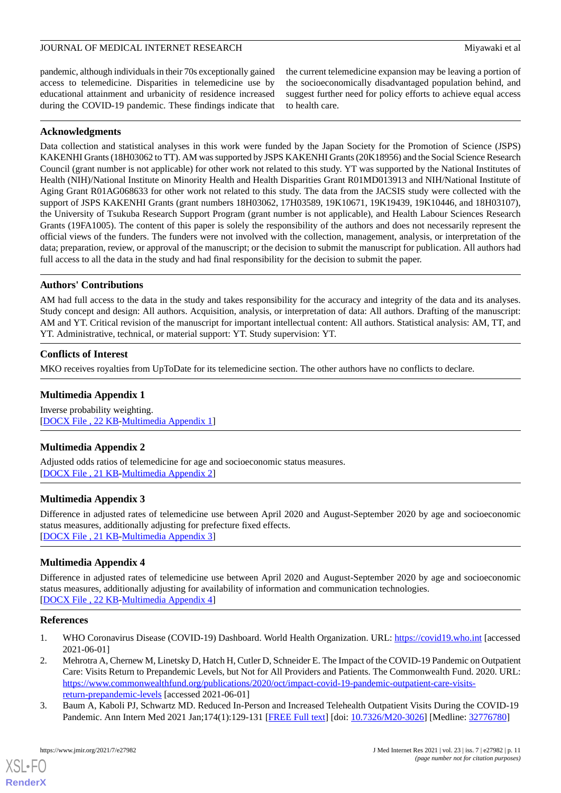pandemic, although individuals in their 70s exceptionally gained access to telemedicine. Disparities in telemedicine use by educational attainment and urbanicity of residence increased during the COVID-19 pandemic. These findings indicate that the current telemedicine expansion may be leaving a portion of the socioeconomically disadvantaged population behind, and suggest further need for policy efforts to achieve equal access to health care.

# **Acknowledgments**

Data collection and statistical analyses in this work were funded by the Japan Society for the Promotion of Science (JSPS) KAKENHI Grants (18H03062 to TT). AM was supported by JSPS KAKENHI Grants (20K18956) and the Social Science Research Council (grant number is not applicable) for other work not related to this study. YT was supported by the National Institutes of Health (NIH)/National Institute on Minority Health and Health Disparities Grant R01MD013913 and NIH/National Institute of Aging Grant R01AG068633 for other work not related to this study. The data from the JACSIS study were collected with the support of JSPS KAKENHI Grants (grant numbers 18H03062, 17H03589, 19K10671, 19K19439, 19K10446, and 18H03107), the University of Tsukuba Research Support Program (grant number is not applicable), and Health Labour Sciences Research Grants (19FA1005). The content of this paper is solely the responsibility of the authors and does not necessarily represent the official views of the funders. The funders were not involved with the collection, management, analysis, or interpretation of the data; preparation, review, or approval of the manuscript; or the decision to submit the manuscript for publication. All authors had full access to all the data in the study and had final responsibility for the decision to submit the paper.

# **Authors' Contributions**

AM had full access to the data in the study and takes responsibility for the accuracy and integrity of the data and its analyses. Study concept and design: All authors. Acquisition, analysis, or interpretation of data: All authors. Drafting of the manuscript: AM and YT. Critical revision of the manuscript for important intellectual content: All authors. Statistical analysis: AM, TT, and YT. Administrative, technical, or material support: YT. Study supervision: YT.

# <span id="page-10-3"></span>**Conflicts of Interest**

MKO receives royalties from UpToDate for its telemedicine section. The other authors have no conflicts to declare.

# <span id="page-10-4"></span>**Multimedia Appendix 1**

Inverse probability weighting. [[DOCX File , 22 KB](https://jmir.org/api/download?alt_name=jmir_v23i7e27982_app1.docx&filename=3780b1dcf878e649bef2b4f0a211768b.docx)-[Multimedia Appendix 1\]](https://jmir.org/api/download?alt_name=jmir_v23i7e27982_app1.docx&filename=3780b1dcf878e649bef2b4f0a211768b.docx)

# <span id="page-10-5"></span>**Multimedia Appendix 2**

Adjusted odds ratios of telemedicine for age and socioeconomic status measures. [[DOCX File , 21 KB](https://jmir.org/api/download?alt_name=jmir_v23i7e27982_app2.docx&filename=257e2c170e5624c8f7cd147bac763325.docx)-[Multimedia Appendix 2\]](https://jmir.org/api/download?alt_name=jmir_v23i7e27982_app2.docx&filename=257e2c170e5624c8f7cd147bac763325.docx)

# **Multimedia Appendix 3**

<span id="page-10-6"></span>Difference in adjusted rates of telemedicine use between April 2020 and August-September 2020 by age and socioeconomic status measures, additionally adjusting for prefecture fixed effects. [[DOCX File , 21 KB](https://jmir.org/api/download?alt_name=jmir_v23i7e27982_app3.docx&filename=b45830bf301026ceb12d2c54625c0508.docx)-[Multimedia Appendix 3\]](https://jmir.org/api/download?alt_name=jmir_v23i7e27982_app3.docx&filename=b45830bf301026ceb12d2c54625c0508.docx)

# **Multimedia Appendix 4**

<span id="page-10-1"></span><span id="page-10-0"></span>Difference in adjusted rates of telemedicine use between April 2020 and August-September 2020 by age and socioeconomic status measures, additionally adjusting for availability of information and communication technologies. [[DOCX File , 22 KB](https://jmir.org/api/download?alt_name=jmir_v23i7e27982_app4.docx&filename=84c5f2be9cdba5a8e0972da6aade1e5b.docx)-[Multimedia Appendix 4\]](https://jmir.org/api/download?alt_name=jmir_v23i7e27982_app4.docx&filename=84c5f2be9cdba5a8e0972da6aade1e5b.docx)

# **References**

- <span id="page-10-2"></span>1. WHO Coronavirus Disease (COVID-19) Dashboard. World Health Organization. URL: <https://covid19.who.int> [accessed 2021-06-01]
- 2. Mehrotra A, Chernew M, Linetsky D, Hatch H, Cutler D, Schneider E. The Impact of the COVID-19 Pandemic on Outpatient Care: Visits Return to Prepandemic Levels, but Not for All Providers and Patients. The Commonwealth Fund. 2020. URL: [https://www.commonwealthfund.org/publications/2020/oct/impact-covid-19-pandemic-outpatient-care-visits](https://www.commonwealthfund.org/publications/2020/oct/impact-covid-19-pandemic-outpatient-care-visits-return-prepandemic-levels)[return-prepandemic-levels](https://www.commonwealthfund.org/publications/2020/oct/impact-covid-19-pandemic-outpatient-care-visits-return-prepandemic-levels) [accessed 2021-06-01]
- 3. Baum A, Kaboli PJ, Schwartz MD. Reduced In-Person and Increased Telehealth Outpatient Visits During the COVID-19 Pandemic. Ann Intern Med 2021 Jan;174(1):129-131 [[FREE Full text](https://www.acpjournals.org/doi/abs/10.7326/M20-3026?url_ver=Z39.88-2003&rfr_id=ori:rid:crossref.org&rfr_dat=cr_pub%3dpubmed)] [doi: [10.7326/M20-3026](http://dx.doi.org/10.7326/M20-3026)] [Medline: [32776780\]](http://www.ncbi.nlm.nih.gov/entrez/query.fcgi?cmd=Retrieve&db=PubMed&list_uids=32776780&dopt=Abstract)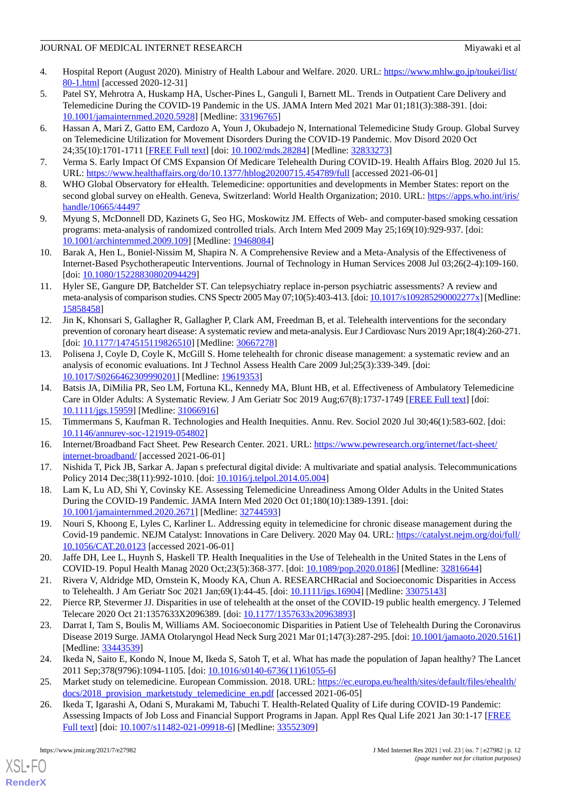- <span id="page-11-0"></span>4. Hospital Report (August 2020). Ministry of Health Labour and Welfare. 2020. URL: [https://www.mhlw.go.jp/toukei/list/](https://www.mhlw.go.jp/toukei/list/80-1.html) [80-1.html](https://www.mhlw.go.jp/toukei/list/80-1.html) [accessed 2020-12-31]
- <span id="page-11-1"></span>5. Patel SY, Mehrotra A, Huskamp HA, Uscher-Pines L, Ganguli I, Barnett ML. Trends in Outpatient Care Delivery and Telemedicine During the COVID-19 Pandemic in the US. JAMA Intern Med 2021 Mar 01;181(3):388-391. [doi: [10.1001/jamainternmed.2020.5928\]](http://dx.doi.org/10.1001/jamainternmed.2020.5928) [Medline: [33196765\]](http://www.ncbi.nlm.nih.gov/entrez/query.fcgi?cmd=Retrieve&db=PubMed&list_uids=33196765&dopt=Abstract)
- <span id="page-11-2"></span>6. Hassan A, Mari Z, Gatto EM, Cardozo A, Youn J, Okubadejo N, International Telemedicine Study Group. Global Survey on Telemedicine Utilization for Movement Disorders During the COVID-19 Pandemic. Mov Disord 2020 Oct 24;35(10):1701-1711 [[FREE Full text](http://europepmc.org/abstract/MED/32833273)] [doi: [10.1002/mds.28284\]](http://dx.doi.org/10.1002/mds.28284) [Medline: [32833273\]](http://www.ncbi.nlm.nih.gov/entrez/query.fcgi?cmd=Retrieve&db=PubMed&list_uids=32833273&dopt=Abstract)
- <span id="page-11-4"></span><span id="page-11-3"></span>7. Verma S. Early Impact Of CMS Expansion Of Medicare Telehealth During COVID-19. Health Affairs Blog. 2020 Jul 15. URL: <https://www.healthaffairs.org/do/10.1377/hblog20200715.454789/full> [accessed 2021-06-01]
- <span id="page-11-5"></span>8. WHO Global Observatory for eHealth. Telemedicine: opportunities and developments in Member States: report on the second global survey on eHealth. Geneva, Switzerland: World Health Organization; 2010. URL: [https://apps.who.int/iris/](https://apps.who.int/iris/handle/10665/44497) [handle/10665/44497](https://apps.who.int/iris/handle/10665/44497)
- <span id="page-11-6"></span>9. Myung S, McDonnell DD, Kazinets G, Seo HG, Moskowitz JM. Effects of Web- and computer-based smoking cessation programs: meta-analysis of randomized controlled trials. Arch Intern Med 2009 May 25;169(10):929-937. [doi: [10.1001/archinternmed.2009.109\]](http://dx.doi.org/10.1001/archinternmed.2009.109) [Medline: [19468084](http://www.ncbi.nlm.nih.gov/entrez/query.fcgi?cmd=Retrieve&db=PubMed&list_uids=19468084&dopt=Abstract)]
- <span id="page-11-7"></span>10. Barak A, Hen L, Boniel-Nissim M, Shapira N. A Comprehensive Review and a Meta-Analysis of the Effectiveness of Internet-Based Psychotherapeutic Interventions. Journal of Technology in Human Services 2008 Jul 03;26(2-4):109-160. [doi: [10.1080/15228830802094429](http://dx.doi.org/10.1080/15228830802094429)]
- <span id="page-11-8"></span>11. Hyler SE, Gangure DP, Batchelder ST. Can telepsychiatry replace in-person psychiatric assessments? A review and meta-analysis of comparison studies. CNS Spectr 2005 May 07;10(5):403-413. [doi: [10.1017/s109285290002277x](http://dx.doi.org/10.1017/s109285290002277x)] [Medline: [15858458](http://www.ncbi.nlm.nih.gov/entrez/query.fcgi?cmd=Retrieve&db=PubMed&list_uids=15858458&dopt=Abstract)]
- <span id="page-11-9"></span>12. Jin K, Khonsari S, Gallagher R, Gallagher P, Clark AM, Freedman B, et al. Telehealth interventions for the secondary prevention of coronary heart disease: A systematic review and meta-analysis. Eur J Cardiovasc Nurs 2019 Apr;18(4):260-271. [doi: [10.1177/1474515119826510](http://dx.doi.org/10.1177/1474515119826510)] [Medline: [30667278\]](http://www.ncbi.nlm.nih.gov/entrez/query.fcgi?cmd=Retrieve&db=PubMed&list_uids=30667278&dopt=Abstract)
- <span id="page-11-10"></span>13. Polisena J, Coyle D, Coyle K, McGill S. Home telehealth for chronic disease management: a systematic review and an analysis of economic evaluations. Int J Technol Assess Health Care 2009 Jul;25(3):339-349. [doi: [10.1017/S0266462309990201](http://dx.doi.org/10.1017/S0266462309990201)] [Medline: [19619353](http://www.ncbi.nlm.nih.gov/entrez/query.fcgi?cmd=Retrieve&db=PubMed&list_uids=19619353&dopt=Abstract)]
- <span id="page-11-12"></span><span id="page-11-11"></span>14. Batsis JA, DiMilia PR, Seo LM, Fortuna KL, Kennedy MA, Blunt HB, et al. Effectiveness of Ambulatory Telemedicine Care in Older Adults: A Systematic Review. J Am Geriatr Soc 2019 Aug;67(8):1737-1749 [\[FREE Full text\]](http://europepmc.org/abstract/MED/31066916) [doi: [10.1111/jgs.15959\]](http://dx.doi.org/10.1111/jgs.15959) [Medline: [31066916\]](http://www.ncbi.nlm.nih.gov/entrez/query.fcgi?cmd=Retrieve&db=PubMed&list_uids=31066916&dopt=Abstract)
- <span id="page-11-13"></span>15. Timmermans S, Kaufman R. Technologies and Health Inequities. Annu. Rev. Sociol 2020 Jul 30;46(1):583-602. [doi: [10.1146/annurev-soc-121919-054802](http://dx.doi.org/10.1146/annurev-soc-121919-054802)]
- <span id="page-11-14"></span>16. Internet/Broadband Fact Sheet. Pew Research Center. 2021. URL: [https://www.pewresearch.org/internet/fact-sheet/](https://www.pewresearch.org/internet/fact-sheet/internet-broadband/) [internet-broadband/](https://www.pewresearch.org/internet/fact-sheet/internet-broadband/) [accessed 2021-06-01]
- <span id="page-11-15"></span>17. Nishida T, Pick JB, Sarkar A. Japan s prefectural digital divide: A multivariate and spatial analysis. Telecommunications Policy 2014 Dec;38(11):992-1010. [doi: [10.1016/j.telpol.2014.05.004\]](http://dx.doi.org/10.1016/j.telpol.2014.05.004)
- <span id="page-11-16"></span>18. Lam K, Lu AD, Shi Y, Covinsky KE. Assessing Telemedicine Unreadiness Among Older Adults in the United States During the COVID-19 Pandemic. JAMA Intern Med 2020 Oct 01;180(10):1389-1391. [doi: [10.1001/jamainternmed.2020.2671\]](http://dx.doi.org/10.1001/jamainternmed.2020.2671) [Medline: [32744593\]](http://www.ncbi.nlm.nih.gov/entrez/query.fcgi?cmd=Retrieve&db=PubMed&list_uids=32744593&dopt=Abstract)
- <span id="page-11-21"></span>19. Nouri S, Khoong E, Lyles C, Karliner L. Addressing equity in telemedicine for chronic disease management during the Covid-19 pandemic. NEJM Catalyst: Innovations in Care Delivery. 2020 May 04. URL: [https://catalyst.nejm.org/doi/full/](https://catalyst.nejm.org/doi/full/10.1056/CAT.20.0123) [10.1056/CAT.20.0123](https://catalyst.nejm.org/doi/full/10.1056/CAT.20.0123) [accessed 2021-06-01]
- <span id="page-11-22"></span><span id="page-11-17"></span>20. Jaffe DH, Lee L, Huynh S, Haskell TP. Health Inequalities in the Use of Telehealth in the United States in the Lens of COVID-19. Popul Health Manag 2020 Oct;23(5):368-377. [doi: [10.1089/pop.2020.0186](http://dx.doi.org/10.1089/pop.2020.0186)] [Medline: [32816644](http://www.ncbi.nlm.nih.gov/entrez/query.fcgi?cmd=Retrieve&db=PubMed&list_uids=32816644&dopt=Abstract)]
- 21. Rivera V, Aldridge MD, Ornstein K, Moody KA, Chun A. RESEARCHRacial and Socioeconomic Disparities in Access to Telehealth. J Am Geriatr Soc 2021 Jan;69(1):44-45. [doi: [10.1111/jgs.16904\]](http://dx.doi.org/10.1111/jgs.16904) [Medline: [33075143](http://www.ncbi.nlm.nih.gov/entrez/query.fcgi?cmd=Retrieve&db=PubMed&list_uids=33075143&dopt=Abstract)]
- <span id="page-11-18"></span>22. Pierce RP, Stevermer JJ. Disparities in use of telehealth at the onset of the COVID-19 public health emergency. J Telemed Telecare 2020 Oct 21:1357633X2096389. [doi: [10.1177/1357633x20963893\]](http://dx.doi.org/10.1177/1357633x20963893)
- <span id="page-11-20"></span><span id="page-11-19"></span>23. Darrat I, Tam S, Boulis M, Williams AM. Socioeconomic Disparities in Patient Use of Telehealth During the Coronavirus Disease 2019 Surge. JAMA Otolaryngol Head Neck Surg 2021 Mar 01;147(3):287-295. [doi: [10.1001/jamaoto.2020.5161](http://dx.doi.org/10.1001/jamaoto.2020.5161)] [Medline: [33443539](http://www.ncbi.nlm.nih.gov/entrez/query.fcgi?cmd=Retrieve&db=PubMed&list_uids=33443539&dopt=Abstract)]
- 24. Ikeda N, Saito E, Kondo N, Inoue M, Ikeda S, Satoh T, et al. What has made the population of Japan healthy? The Lancet 2011 Sep;378(9796):1094-1105. [doi: [10.1016/s0140-6736\(11\)61055-6\]](http://dx.doi.org/10.1016/s0140-6736(11)61055-6)
- 25. Market study on telemedicine. European Commission. 2018. URL: [https://ec.europa.eu/health/sites/default/files/ehealth/](https://ec.europa.eu/health/sites/default/files/ehealth/docs/2018_provision_marketstudy_telemedicine_en.pdf) [docs/2018\\_provision\\_marketstudy\\_telemedicine\\_en.pdf](https://ec.europa.eu/health/sites/default/files/ehealth/docs/2018_provision_marketstudy_telemedicine_en.pdf) [accessed 2021-06-05]
- 26. Ikeda T, Igarashi A, Odani S, Murakami M, Tabuchi T. Health-Related Quality of Life during COVID-19 Pandemic: Assessing Impacts of Job Loss and Financial Support Programs in Japan. Appl Res Qual Life 2021 Jan 30:1-17 [[FREE](http://europepmc.org/abstract/MED/33552309) [Full text\]](http://europepmc.org/abstract/MED/33552309) [doi: [10.1007/s11482-021-09918-6](http://dx.doi.org/10.1007/s11482-021-09918-6)] [Medline: [33552309](http://www.ncbi.nlm.nih.gov/entrez/query.fcgi?cmd=Retrieve&db=PubMed&list_uids=33552309&dopt=Abstract)]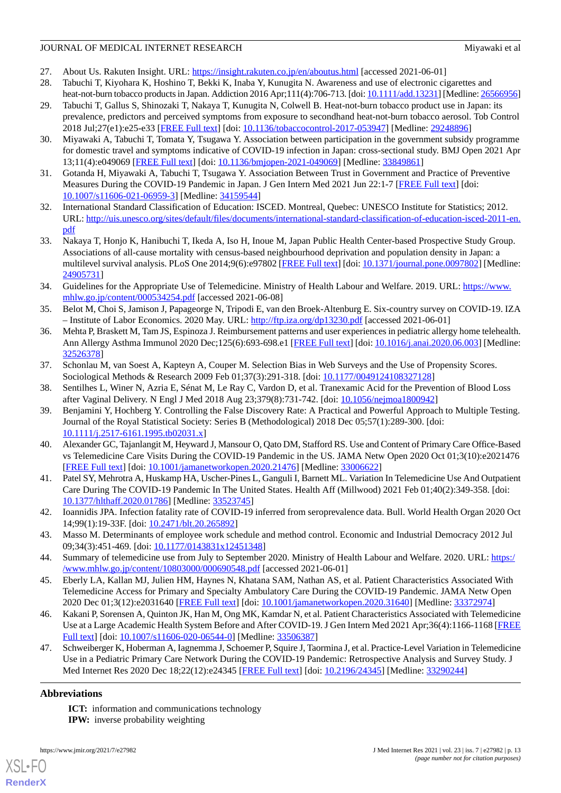- <span id="page-12-0"></span>27. About Us. Rakuten Insight. URL:<https://insight.rakuten.co.jp/en/aboutus.html> [accessed 2021-06-01]
- 28. Tabuchi T, Kiyohara K, Hoshino T, Bekki K, Inaba Y, Kunugita N. Awareness and use of electronic cigarettes and heat-not-burn tobacco products in Japan. Addiction 2016 Apr;111(4):706-713. [doi: [10.1111/add.13231](http://dx.doi.org/10.1111/add.13231)] [Medline: [26566956](http://www.ncbi.nlm.nih.gov/entrez/query.fcgi?cmd=Retrieve&db=PubMed&list_uids=26566956&dopt=Abstract)]
- <span id="page-12-1"></span>29. Tabuchi T, Gallus S, Shinozaki T, Nakaya T, Kunugita N, Colwell B. Heat-not-burn tobacco product use in Japan: its prevalence, predictors and perceived symptoms from exposure to secondhand heat-not-burn tobacco aerosol. Tob Control 2018 Jul;27(e1):e25-e33 [\[FREE Full text\]](http://tobaccocontrol.bmj.com/lookup/pmidlookup?view=long&pmid=29248896) [doi: [10.1136/tobaccocontrol-2017-053947](http://dx.doi.org/10.1136/tobaccocontrol-2017-053947)] [Medline: [29248896](http://www.ncbi.nlm.nih.gov/entrez/query.fcgi?cmd=Retrieve&db=PubMed&list_uids=29248896&dopt=Abstract)]
- <span id="page-12-2"></span>30. Miyawaki A, Tabuchi T, Tomata Y, Tsugawa Y. Association between participation in the government subsidy programme for domestic travel and symptoms indicative of COVID-19 infection in Japan: cross-sectional study. BMJ Open 2021 Apr 13;11(4):e049069 [\[FREE Full text](https://bmjopen.bmj.com/lookup/pmidlookup?view=long&pmid=33849861)] [doi: [10.1136/bmjopen-2021-049069\]](http://dx.doi.org/10.1136/bmjopen-2021-049069) [Medline: [33849861](http://www.ncbi.nlm.nih.gov/entrez/query.fcgi?cmd=Retrieve&db=PubMed&list_uids=33849861&dopt=Abstract)]
- <span id="page-12-4"></span><span id="page-12-3"></span>31. Gotanda H, Miyawaki A, Tabuchi T, Tsugawa Y. Association Between Trust in Government and Practice of Preventive Measures During the COVID-19 Pandemic in Japan. J Gen Intern Med 2021 Jun 22:1-7 [\[FREE Full text\]](http://europepmc.org/abstract/MED/34159544) [doi: [10.1007/s11606-021-06959-3\]](http://dx.doi.org/10.1007/s11606-021-06959-3) [Medline: [34159544\]](http://www.ncbi.nlm.nih.gov/entrez/query.fcgi?cmd=Retrieve&db=PubMed&list_uids=34159544&dopt=Abstract)
- <span id="page-12-5"></span>32. International Standard Classification of Education: ISCED. Montreal, Quebec: UNESCO Institute for Statistics; 2012. URL: [http://uis.unesco.org/sites/default/files/documents/international-standard-classification-of-education-isced-2011-en.](http://uis.unesco.org/sites/default/files/documents/international-standard-classification-of-education-isced-2011-en.pdf) [pdf](http://uis.unesco.org/sites/default/files/documents/international-standard-classification-of-education-isced-2011-en.pdf)
- <span id="page-12-6"></span>33. Nakaya T, Honjo K, Hanibuchi T, Ikeda A, Iso H, Inoue M, Japan Public Health Center-based Prospective Study Group. Associations of all-cause mortality with census-based neighbourhood deprivation and population density in Japan: a multilevel survival analysis. PLoS One 2014;9(6):e97802 [\[FREE Full text\]](https://dx.plos.org/10.1371/journal.pone.0097802) [doi: [10.1371/journal.pone.0097802\]](http://dx.doi.org/10.1371/journal.pone.0097802) [Medline: [24905731](http://www.ncbi.nlm.nih.gov/entrez/query.fcgi?cmd=Retrieve&db=PubMed&list_uids=24905731&dopt=Abstract)]
- <span id="page-12-7"></span>34. Guidelines for the Appropriate Use of Telemedicine. Ministry of Health Labour and Welfare. 2019. URL: [https://www.](https://www.mhlw.go.jp/content/000534254.pdf) [mhlw.go.jp/content/000534254.pdf](https://www.mhlw.go.jp/content/000534254.pdf) [accessed 2021-06-08]
- <span id="page-12-8"></span>35. Belot M, Choi S, Jamison J, Papageorge N, Tripodi E, van den Broek-Altenburg E. Six-country survey on COVID-19. IZA – Institute of Labor Economics. 2020 May. URL:<http://ftp.iza.org/dp13230.pdf> [accessed 2021-06-01]
- <span id="page-12-9"></span>36. Mehta P, Braskett M, Tam JS, Espinoza J. Reimbursement patterns and user experiences in pediatric allergy home telehealth. Ann Allergy Asthma Immunol 2020 Dec;125(6):693-698.e1 [[FREE Full text\]](http://europepmc.org/abstract/MED/32526378) [doi: [10.1016/j.anai.2020.06.003\]](http://dx.doi.org/10.1016/j.anai.2020.06.003) [Medline: [32526378](http://www.ncbi.nlm.nih.gov/entrez/query.fcgi?cmd=Retrieve&db=PubMed&list_uids=32526378&dopt=Abstract)]
- <span id="page-12-11"></span><span id="page-12-10"></span>37. Schonlau M, van Soest A, Kapteyn A, Couper M. Selection Bias in Web Surveys and the Use of Propensity Scores. Sociological Methods & Research 2009 Feb 01;37(3):291-318. [doi: [10.1177/0049124108327128](http://dx.doi.org/10.1177/0049124108327128)]
- 38. Sentilhes L, Winer N, Azria E, Sénat M, Le Ray C, Vardon D, et al. Tranexamic Acid for the Prevention of Blood Loss after Vaginal Delivery. N Engl J Med 2018 Aug 23;379(8):731-742. [doi: [10.1056/nejmoa1800942\]](http://dx.doi.org/10.1056/nejmoa1800942)
- <span id="page-12-12"></span>39. Benjamini Y, Hochberg Y. Controlling the False Discovery Rate: A Practical and Powerful Approach to Multiple Testing. Journal of the Royal Statistical Society: Series B (Methodological) 2018 Dec 05;57(1):289-300. [doi: [10.1111/j.2517-6161.1995.tb02031.x\]](http://dx.doi.org/10.1111/j.2517-6161.1995.tb02031.x)
- <span id="page-12-13"></span>40. Alexander GC, Tajanlangit M, Heyward J, Mansour O, Qato DM, Stafford RS. Use and Content of Primary Care Office-Based vs Telemedicine Care Visits During the COVID-19 Pandemic in the US. JAMA Netw Open 2020 Oct 01;3(10):e2021476 [[FREE Full text](https://jamanetwork.com/journals/jamanetworkopen/fullarticle/10.1001/jamanetworkopen.2020.21476)] [doi: [10.1001/jamanetworkopen.2020.21476](http://dx.doi.org/10.1001/jamanetworkopen.2020.21476)] [Medline: [33006622\]](http://www.ncbi.nlm.nih.gov/entrez/query.fcgi?cmd=Retrieve&db=PubMed&list_uids=33006622&dopt=Abstract)
- <span id="page-12-15"></span><span id="page-12-14"></span>41. Patel SY, Mehrotra A, Huskamp HA, Uscher-Pines L, Ganguli I, Barnett ML. Variation In Telemedicine Use And Outpatient Care During The COVID-19 Pandemic In The United States. Health Aff (Millwood) 2021 Feb 01;40(2):349-358. [doi: [10.1377/hlthaff.2020.01786](http://dx.doi.org/10.1377/hlthaff.2020.01786)] [Medline: [33523745\]](http://www.ncbi.nlm.nih.gov/entrez/query.fcgi?cmd=Retrieve&db=PubMed&list_uids=33523745&dopt=Abstract)
- <span id="page-12-17"></span><span id="page-12-16"></span>42. Ioannidis JPA. Infection fatality rate of COVID-19 inferred from seroprevalence data. Bull. World Health Organ 2020 Oct 14;99(1):19-33F. [doi: [10.2471/blt.20.265892](http://dx.doi.org/10.2471/blt.20.265892)]
- 43. Masso M. Determinants of employee work schedule and method control. Economic and Industrial Democracy 2012 Jul 09;34(3):451-469. [doi: [10.1177/0143831x12451348\]](http://dx.doi.org/10.1177/0143831x12451348)
- <span id="page-12-18"></span>44. Summary of telemedicine use from July to September 2020. Ministry of Health Labour and Welfare. 2020. URL: [https:/](https://www.mhlw.go.jp/content/10803000/000690548.pdf) [/www.mhlw.go.jp/content/10803000/000690548.pdf](https://www.mhlw.go.jp/content/10803000/000690548.pdf) [accessed 2021-06-01]
- <span id="page-12-19"></span>45. Eberly LA, Kallan MJ, Julien HM, Haynes N, Khatana SAM, Nathan AS, et al. Patient Characteristics Associated With Telemedicine Access for Primary and Specialty Ambulatory Care During the COVID-19 Pandemic. JAMA Netw Open 2020 Dec 01;3(12):e2031640 [\[FREE Full text](https://jamanetwork.com/journals/jamanetworkopen/fullarticle/10.1001/jamanetworkopen.2020.31640)] [doi: [10.1001/jamanetworkopen.2020.31640](http://dx.doi.org/10.1001/jamanetworkopen.2020.31640)] [Medline: [33372974](http://www.ncbi.nlm.nih.gov/entrez/query.fcgi?cmd=Retrieve&db=PubMed&list_uids=33372974&dopt=Abstract)]
- 46. Kakani P, Sorensen A, Quinton JK, Han M, Ong MK, Kamdar N, et al. Patient Characteristics Associated with Telemedicine Use at a Large Academic Health System Before and After COVID-19. J Gen Intern Med 2021 Apr;36(4):1166-1168 [\[FREE](http://europepmc.org/abstract/MED/33506387) [Full text\]](http://europepmc.org/abstract/MED/33506387) [doi: [10.1007/s11606-020-06544-0](http://dx.doi.org/10.1007/s11606-020-06544-0)] [Medline: [33506387](http://www.ncbi.nlm.nih.gov/entrez/query.fcgi?cmd=Retrieve&db=PubMed&list_uids=33506387&dopt=Abstract)]
- 47. Schweiberger K, Hoberman A, Iagnemma J, Schoemer P, Squire J, Taormina J, et al. Practice-Level Variation in Telemedicine Use in a Pediatric Primary Care Network During the COVID-19 Pandemic: Retrospective Analysis and Survey Study. J Med Internet Res 2020 Dec 18;22(12):e24345 [\[FREE Full text\]](https://www.jmir.org/2020/12/e24345/) [doi: [10.2196/24345\]](http://dx.doi.org/10.2196/24345) [Medline: [33290244\]](http://www.ncbi.nlm.nih.gov/entrez/query.fcgi?cmd=Retrieve&db=PubMed&list_uids=33290244&dopt=Abstract)

# **Abbreviations**

[XSL](http://www.w3.org/Style/XSL)•FO **[RenderX](http://www.renderx.com/)**

**ICT:** information and communications technology **IPW:** inverse probability weighting